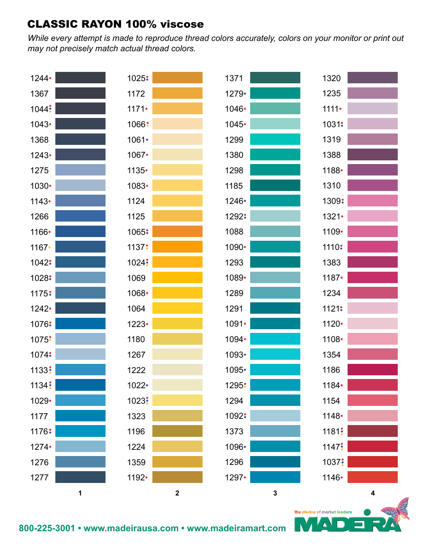*While every attempt is made to reproduce thread colors accurately, colors on your monitor or print out may not precisely match actual thread colors.*



Δ

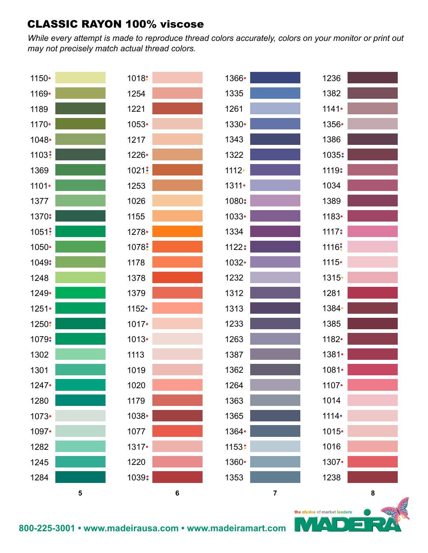*While every attempt is made to reproduce thread colors accurately, colors on your monitor or print out may not precisely match actual thread colors.*



Δ

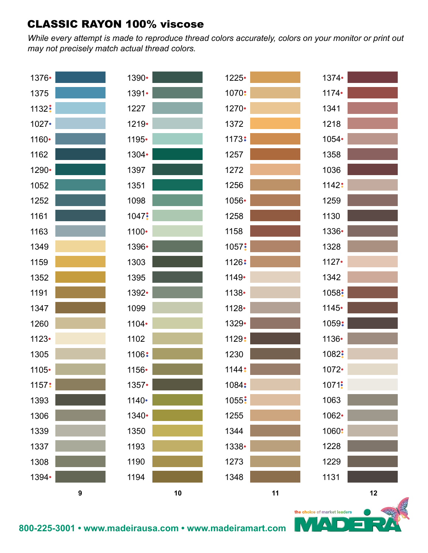*While every attempt is made to reproduce thread colors accurately, colors on your monitor or print out may not precisely match actual thread colors.*



Δ

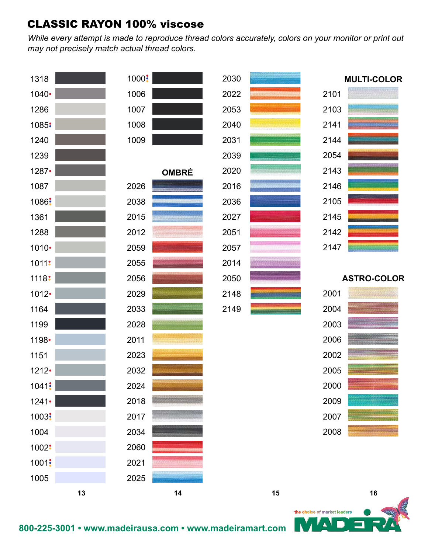*While every attempt is made to reproduce thread colors accurately, colors on your monitor or print out may not precisely match actual thread colors.*